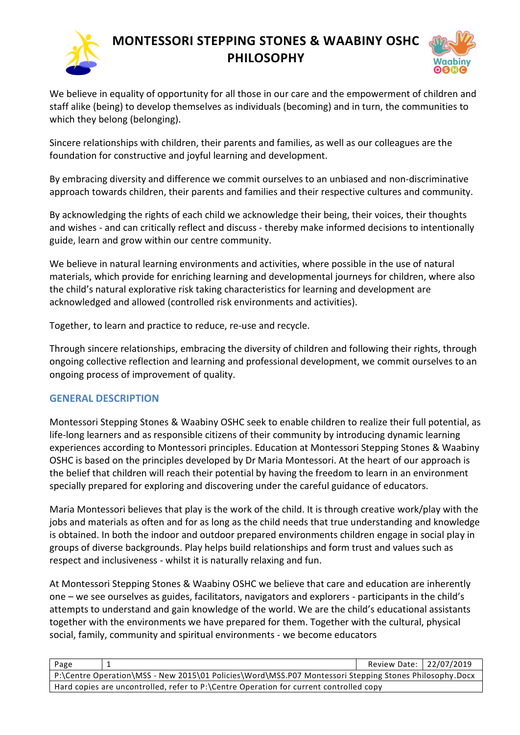

## **MONTESSORI STEPPING STONES & WAABINY OSHC PHILOSOPHY**



We believe in equality of opportunity for all those in our care and the empowerment of children and staff alike (being) to develop themselves as individuals (becoming) and in turn, the communities to which they belong (belonging).

Sincere relationships with children, their parents and families, as well as our colleagues are the foundation for constructive and joyful learning and development.

By embracing diversity and difference we commit ourselves to an unbiased and non-discriminative approach towards children, their parents and families and their respective cultures and community.

By acknowledging the rights of each child we acknowledge their being, their voices, their thoughts and wishes - and can critically reflect and discuss - thereby make informed decisions to intentionally guide, learn and grow within our centre community.

We believe in natural learning environments and activities, where possible in the use of natural materials, which provide for enriching learning and developmental journeys for children, where also the child's natural explorative risk taking characteristics for learning and development are acknowledged and allowed (controlled risk environments and activities).

Together, to learn and practice to reduce, re-use and recycle.

Through sincere relationships, embracing the diversity of children and following their rights, through ongoing collective reflection and learning and professional development, we commit ourselves to an ongoing process of improvement of quality.

## **GENERAL DESCRIPTION**

Montessori Stepping Stones & Waabiny OSHC seek to enable children to realize their full potential, as life-long learners and as responsible citizens of their community by introducing dynamic learning experiences according to Montessori principles. Education at Montessori Stepping Stones & Waabiny OSHC is based on the principles developed by Dr Maria Montessori. At the heart of our approach is the belief that children will reach their potential by having the freedom to learn in an environment specially prepared for exploring and discovering under the careful guidance of educators.

Maria Montessori believes that play is the work of the child. It is through creative work/play with the jobs and materials as often and for as long as the child needs that true understanding and knowledge is obtained. In both the indoor and outdoor prepared environments children engage in social play in groups of diverse backgrounds. Play helps build relationships and form trust and values such as respect and inclusiveness - whilst it is naturally relaxing and fun.

At Montessori Stepping Stones & Waabiny OSHC we believe that care and education are inherently one – we see ourselves as guides, facilitators, navigators and explorers - participants in the child's attempts to understand and gain knowledge of the world. We are the child's educational assistants together with the environments we have prepared for them. Together with the cultural, physical social, family, community and spiritual environments - we become educators

| Page                                                                                                   |  | Review Date: 22/07/2019 |  |
|--------------------------------------------------------------------------------------------------------|--|-------------------------|--|
| P:\Centre Operation\MSS - New 2015\01 Policies\Word\MSS.P07 Montessori Stepping Stones Philosophy.Docx |  |                         |  |
| Hard copies are uncontrolled, refer to P:\Centre Operation for current controlled copy                 |  |                         |  |